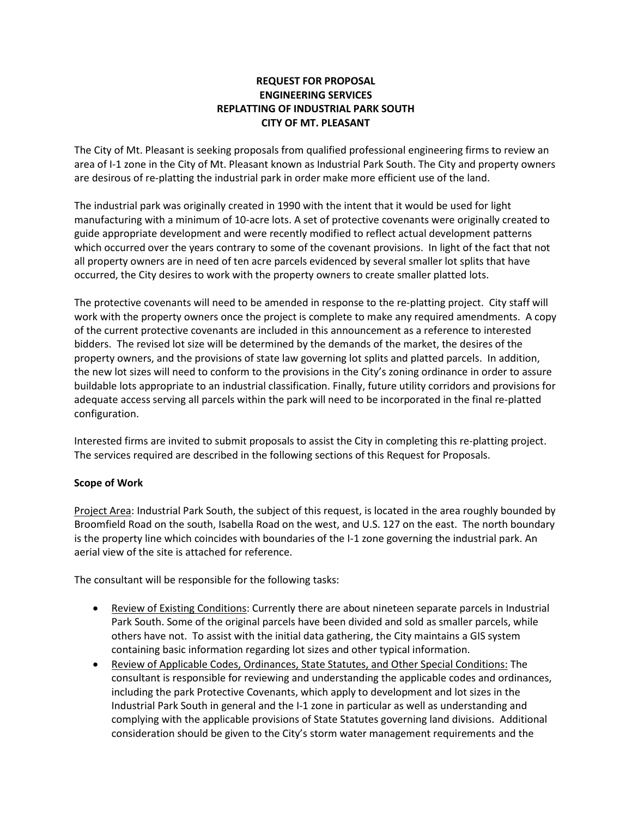# **REQUEST FOR PROPOSAL ENGINEERING SERVICES REPLATTING OF INDUSTRIAL PARK SOUTH CITY OF MT. PLEASANT**

The City of Mt. Pleasant is seeking proposals from qualified professional engineering firms to review an area of I-1 zone in the City of Mt. Pleasant known as Industrial Park South. The City and property owners are desirous of re-platting the industrial park in order make more efficient use of the land.

The industrial park was originally created in 1990 with the intent that it would be used for light manufacturing with a minimum of 10-acre lots. A set of protective covenants were originally created to guide appropriate development and were recently modified to reflect actual development patterns which occurred over the years contrary to some of the covenant provisions. In light of the fact that not all property owners are in need of ten acre parcels evidenced by several smaller lot splits that have occurred, the City desires to work with the property owners to create smaller platted lots.

The protective covenants will need to be amended in response to the re-platting project. City staff will work with the property owners once the project is complete to make any required amendments. A copy of the current protective covenants are included in this announcement as a reference to interested bidders. The revised lot size will be determined by the demands of the market, the desires of the property owners, and the provisions of state law governing lot splits and platted parcels. In addition, the new lot sizes will need to conform to the provisions in the City's zoning ordinance in order to assure buildable lots appropriate to an industrial classification. Finally, future utility corridors and provisions for adequate access serving all parcels within the park will need to be incorporated in the final re-platted configuration.

Interested firms are invited to submit proposals to assist the City in completing this re-platting project. The services required are described in the following sections of this Request for Proposals.

### **Scope of Work**

Project Area: Industrial Park South, the subject of this request, is located in the area roughly bounded by Broomfield Road on the south, Isabella Road on the west, and U.S. 127 on the east. The north boundary is the property line which coincides with boundaries of the I-1 zone governing the industrial park. An aerial view of the site is attached for reference.

The consultant will be responsible for the following tasks:

- Review of Existing Conditions: Currently there are about nineteen separate parcels in Industrial Park South. Some of the original parcels have been divided and sold as smaller parcels, while others have not. To assist with the initial data gathering, the City maintains a GIS system containing basic information regarding lot sizes and other typical information.
- Review of Applicable Codes, Ordinances, State Statutes, and Other Special Conditions: The consultant is responsible for reviewing and understanding the applicable codes and ordinances, including the park Protective Covenants, which apply to development and lot sizes in the Industrial Park South in general and the I-1 zone in particular as well as understanding and complying with the applicable provisions of State Statutes governing land divisions. Additional consideration should be given to the City's storm water management requirements and the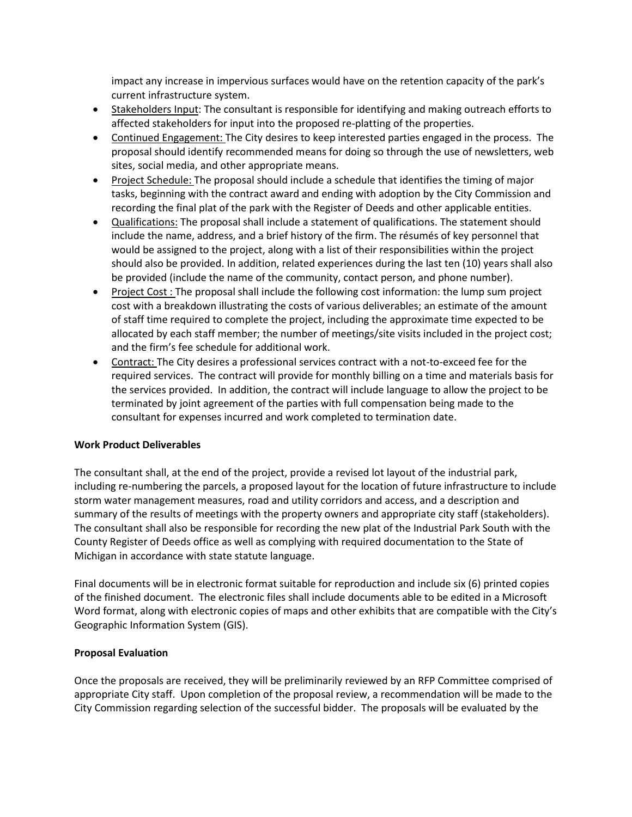impact any increase in impervious surfaces would have on the retention capacity of the park's current infrastructure system.

- Stakeholders Input: The consultant is responsible for identifying and making outreach efforts to affected stakeholders for input into the proposed re-platting of the properties.
- Continued Engagement: The City desires to keep interested parties engaged in the process. The proposal should identify recommended means for doing so through the use of newsletters, web sites, social media, and other appropriate means.
- Project Schedule: The proposal should include a schedule that identifies the timing of major tasks, beginning with the contract award and ending with adoption by the City Commission and recording the final plat of the park with the Register of Deeds and other applicable entities.
- Qualifications: The proposal shall include a statement of qualifications. The statement should include the name, address, and a brief history of the firm. The résumés of key personnel that would be assigned to the project, along with a list of their responsibilities within the project should also be provided. In addition, related experiences during the last ten (10) years shall also be provided (include the name of the community, contact person, and phone number).
- Project Cost : The proposal shall include the following cost information: the lump sum project cost with a breakdown illustrating the costs of various deliverables; an estimate of the amount of staff time required to complete the project, including the approximate time expected to be allocated by each staff member; the number of meetings/site visits included in the project cost; and the firm's fee schedule for additional work.
- Contract: The City desires a professional services contract with a not-to-exceed fee for the required services. The contract will provide for monthly billing on a time and materials basis for the services provided. In addition, the contract will include language to allow the project to be terminated by joint agreement of the parties with full compensation being made to the consultant for expenses incurred and work completed to termination date.

### **Work Product Deliverables**

The consultant shall, at the end of the project, provide a revised lot layout of the industrial park, including re-numbering the parcels, a proposed layout for the location of future infrastructure to include storm water management measures, road and utility corridors and access, and a description and summary of the results of meetings with the property owners and appropriate city staff (stakeholders). The consultant shall also be responsible for recording the new plat of the Industrial Park South with the County Register of Deeds office as well as complying with required documentation to the State of Michigan in accordance with state statute language.

Final documents will be in electronic format suitable for reproduction and include six (6) printed copies of the finished document. The electronic files shall include documents able to be edited in a Microsoft Word format, along with electronic copies of maps and other exhibits that are compatible with the City's Geographic Information System (GIS).

### **Proposal Evaluation**

Once the proposals are received, they will be preliminarily reviewed by an RFP Committee comprised of appropriate City staff. Upon completion of the proposal review, a recommendation will be made to the City Commission regarding selection of the successful bidder. The proposals will be evaluated by the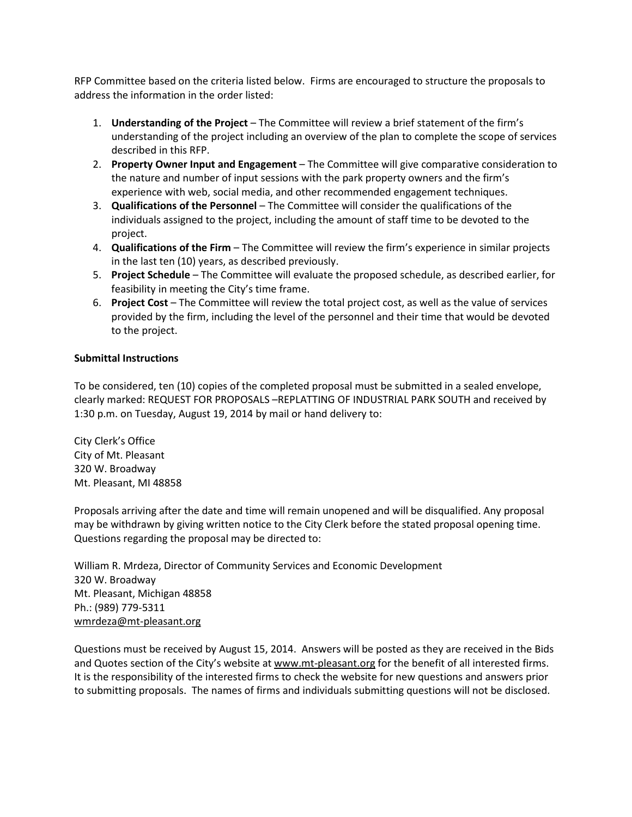RFP Committee based on the criteria listed below. Firms are encouraged to structure the proposals to address the information in the order listed:

- 1. **Understanding of the Project** The Committee will review a brief statement of the firm's understanding of the project including an overview of the plan to complete the scope of services described in this RFP.
- 2. **Property Owner Input and Engagement** The Committee will give comparative consideration to the nature and number of input sessions with the park property owners and the firm's experience with web, social media, and other recommended engagement techniques.
- 3. **Qualifications of the Personnel** The Committee will consider the qualifications of the individuals assigned to the project, including the amount of staff time to be devoted to the project.
- 4. **Qualifications of the Firm** The Committee will review the firm's experience in similar projects in the last ten (10) years, as described previously.
- 5. **Project Schedule** The Committee will evaluate the proposed schedule, as described earlier, for feasibility in meeting the City's time frame.
- 6. **Project Cost** The Committee will review the total project cost, as well as the value of services provided by the firm, including the level of the personnel and their time that would be devoted to the project.

## **Submittal Instructions**

To be considered, ten (10) copies of the completed proposal must be submitted in a sealed envelope, clearly marked: REQUEST FOR PROPOSALS –REPLATTING OF INDUSTRIAL PARK SOUTH and received by 1:30 p.m. on Tuesday, August 19, 2014 by mail or hand delivery to:

City Clerk's Office City of Mt. Pleasant 320 W. Broadway Mt. Pleasant, MI 48858

Proposals arriving after the date and time will remain unopened and will be disqualified. Any proposal may be withdrawn by giving written notice to the City Clerk before the stated proposal opening time. Questions regarding the proposal may be directed to:

William R. Mrdeza, Director of Community Services and Economic Development 320 W. Broadway Mt. Pleasant, Michigan 48858 Ph.: (989) 779-5311 [wmrdeza@mt-pleasant.org](mailto:wmrdeza@mt-pleasant.org)

Questions must be received by August 15, 2014. Answers will be posted as they are received in the Bids and Quotes section of the City's website a[t www.mt-pleasant.org](http://www.mt-pleasant.org/) for the benefit of all interested firms. It is the responsibility of the interested firms to check the website for new questions and answers prior to submitting proposals. The names of firms and individuals submitting questions will not be disclosed.